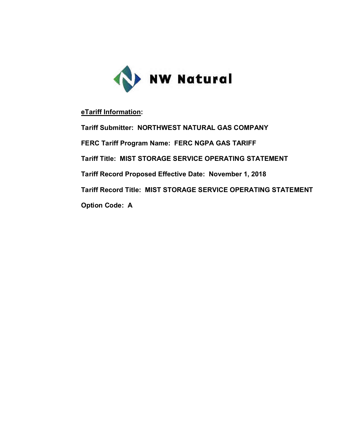

## **eTariff Information:**

**Tariff Submitter: NORTHWEST NATURAL GAS COMPANY FERC Tariff Program Name: FERC NGPA GAS TARIFF Tariff Title: MIST STORAGE SERVICE OPERATING STATEMENT Tariff Record Proposed Effective Date: November 1, 2018 Tariff Record Title: MIST STORAGE SERVICE OPERATING STATEMENT Option Code: A**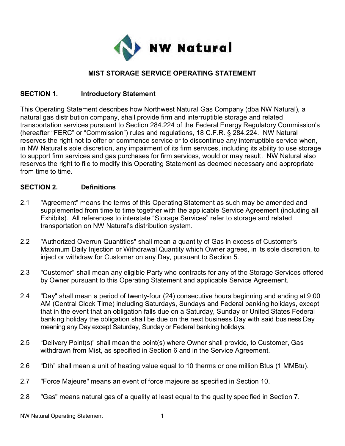

## **MIST STORAGE SERVICE OPERATING STATEMENT**

### **SECTION 1. Introductory Statement**

This Operating Statement describes how Northwest Natural Gas Company (dba NW Natural), a natural gas distribution company, shall provide firm and interruptible storage and related transportation services pursuant to Section 284.224 of the Federal Energy Regulatory Commission's (hereafter "FERC" or "Commission") rules and regulations, 18 C.F.R. § 284.224. NW Natural reserves the right not to offer or commence service or to discontinue any interruptible service when, in NW Natural's sole discretion, any impairment of its firm services, including its ability to use storage to support firm services and gas purchases for firm services, would or may result. NW Natural also reserves the right to file to modify this Operating Statement as deemed necessary and appropriate from time to time.

### **SECTION 2. Definitions**

- 2.1 "Agreement" means the terms of this Operating Statement as such may be amended and supplemented from time to time together with the applicable Service Agreement (including all Exhibits). All references to interstate "Storage Services" refer to storage and related transportation on NW Natural's distribution system.
- 2.2 "Authorized Overrun Quantities" shall mean a quantity of Gas in excess of Customer's Maximum Daily Injection or Withdrawal Quantity which Owner agrees, in its sole discretion, to inject or withdraw for Customer on any Day, pursuant to Section 5.
- 2.3 "Customer" shall mean any eligible Party who contracts for any of the Storage Services offered by Owner pursuant to this Operating Statement and applicable Service Agreement.
- 2.4 "Day" shall mean a period of twenty-four (24) consecutive hours beginning and ending at 9:00 AM (Central Clock Time) including Saturdays, Sundays and Federal banking holidays, except that in the event that an obligation falls due on a Saturday, Sunday or United States Federal banking holiday the obligation shall be due on the next business Day with said business Day meaning any Day except Saturday, Sunday or Federal banking holidays.
- 2.5 "Delivery Point(s)" shall mean the point(s) where Owner shall provide, to Customer, Gas withdrawn from Mist, as specified in Section 6 and in the Service Agreement.
- 2.6 "Dth" shall mean a unit of heating value equal to 10 therms or one million Btus (1 MMBtu).
- 2.7 "Force Majeure" means an event of force majeure as specified in Section 10.
- 2.8 "Gas" means natural gas of a quality at least equal to the quality specified in Section 7.

NW Natural Operating Statement 1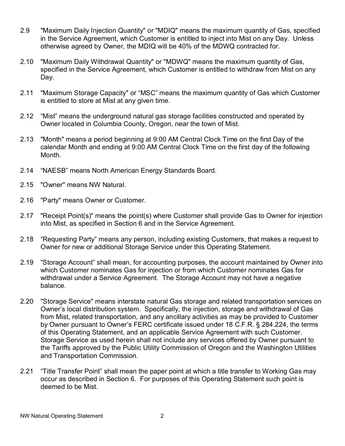- 2.9 "Maximum Daily Injection Quantity" or "MDIQ" means the maximum quantity of Gas, specified in the Service Agreement, which Customer is entitled to inject into Mist on any Day. Unless otherwise agreed by Owner, the MDIQ will be 40% of the MDWQ contracted for.
- 2.10 "Maximum Daily Withdrawal Quantity" or "MDWQ" means the maximum quantity of Gas, specified in the Service Agreement, which Customer is entitled to withdraw from Mist on any Day.
- 2.11 "Maximum Storage Capacity" or "MSC" means the maximum quantity of Gas which Customer is entitled to store at Mist at any given time.
- 2.12 "Mist" means the underground natural gas storage facilities constructed and operated by Owner located in Columbia County, Oregon, near the town of Mist.
- 2.13 "Month" means a period beginning at 9:00 AM Central Clock Time on the first Day of the calendar Month and ending at 9:00 AM Central Clock Time on the first day of the following Month.
- 2.14 "NAESB" means North American Energy Standards Board.
- 2.15 "Owner" means NW Natural.
- 2.16 "Party" means Owner or Customer.
- 2.17 "Receipt Point(s)" means the point(s) where Customer shall provide Gas to Owner for injection into Mist, as specified in Section 6 and in the Service Agreement.
- 2.18 "Requesting Party" means any person, including existing Customers, that makes a request to Owner for new or additional Storage Service under this Operating Statement.
- 2.19 "Storage Account" shall mean, for accounting purposes, the account maintained by Owner into which Customer nominates Gas for injection or from which Customer nominates Gas for withdrawal under a Service Agreement. The Storage Account may not have a negative balance.
- 2.20 "Storage Service" means interstate natural Gas storage and related transportation services on Owner's local distribution system. Specifically, the injection, storage and withdrawal of Gas from Mist, related transportation, and any ancillary activities as may be provided to Customer by Owner pursuant to Owner's FERC certificate issued under 18 C.F.R. § 284.224, the terms of this Operating Statement, and an applicable Service Agreement with such Customer. Storage Service as used herein shall not include any services offered by Owner pursuant to the Tariffs approved by the Public Utility Commission of Oregon and the Washington Utilities and Transportation Commission.
- 2.21 "Title Transfer Point" shall mean the paper point at which a title transfer to Working Gas may occur as described in Section 6. For purposes of this Operating Statement such point is deemed to be Mist.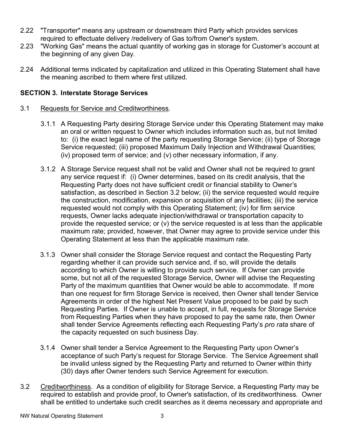- 2.22 "Transporter" means any upstream or downstream third Party which provides services required to effectuate delivery /redelivery of Gas to/from Owner's system.
- 2.23 "Working Gas" means the actual quantity of working gas in storage for Customer's account at the beginning of any given Day.
- 2.24 Additional terms indicated by capitalization and utilized in this Operating Statement shall have the meaning ascribed to them where first utilized.

## **SECTION 3. Interstate Storage Services**

### 3.1 Requests for Service and Creditworthiness.

- 3.1.1 A Requesting Party desiring Storage Service under this Operating Statement may make an oral or written request to Owner which includes information such as, but not limited to: (i) the exact legal name of the party requesting Storage Service; (ii) type of Storage Service requested; (iii) proposed Maximum Daily Injection and Withdrawal Quantities; (iv) proposed term of service; and (v) other necessary information, if any.
- 3.1.2 A Storage Service request shall not be valid and Owner shall not be required to grant any service request if: (i) Owner determines, based on its credit analysis, that the Requesting Party does not have sufficient credit or financial stability to Owner's satisfaction, as described in Section 3.2 below; (ii) the service requested would require the construction, modification, expansion or acquisition of any facilities; (iii) the service requested would not comply with this Operating Statement; (iv) for firm service requests, Owner lacks adequate injection/withdrawal or transportation capacity to provide the requested service; or (v) the service requested is at less than the applicable maximum rate; provided, however, that Owner may agree to provide service under this Operating Statement at less than the applicable maximum rate.
- 3.1.3 Owner shall consider the Storage Service request and contact the Requesting Party regarding whether it can provide such service and, if so, will provide the details according to which Owner is willing to provide such service. If Owner can provide some, but not all of the requested Storage Service, Owner will advise the Requesting Party of the maximum quantities that Owner would be able to accommodate. If more than one request for firm Storage Service is received, then Owner shall tender Service Agreements in order of the highest Net Present Value proposed to be paid by such Requesting Parties. If Owner is unable to accept, in full, requests for Storage Service from Requesting Parties when they have proposed to pay the same rate, then Owner shall tender Service Agreements reflecting each Requesting Party's *pro rata* share of the capacity requested on such business Day.
- 3.1.4 Owner shall tender a Service Agreement to the Requesting Party upon Owner's acceptance of such Party's request for Storage Service. The Service Agreement shall be invalid unless signed by the Requesting Party and returned to Owner within thirty (30) days after Owner tenders such Service Agreement for execution.
- 3.2 Creditworthiness. As a condition of eligibility for Storage Service, a Requesting Party may be required to establish and provide proof, to Owner's satisfaction, of its creditworthiness. Owner shall be entitled to undertake such credit searches as it deems necessary and appropriate and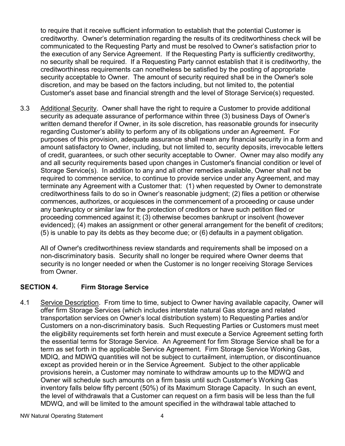to require that it receive sufficient information to establish that the potential Customer is creditworthy. Owner's determination regarding the results of its creditworthiness check will be communicated to the Requesting Party and must be resolved to Owner's satisfaction prior to the execution of any Service Agreement. If the Requesting Party is sufficiently creditworthy, no security shall be required. If a Requesting Party cannot establish that it is creditworthy, the creditworthiness requirements can nonetheless be satisfied by the posting of appropriate security acceptable to Owner. The amount of security required shall be in the Owner's sole discretion, and may be based on the factors including, but not limited to, the potential Customer's asset base and financial strength and the level of Storage Service(s) requested.

3.3 Additional Security. Owner shall have the right to require a Customer to provide additional security as adequate assurance of performance within three (3) business Days of Owner's written demand therefor if Owner, in its sole discretion, has reasonable grounds for insecurity regarding Customer's ability to perform any of its obligations under an Agreement. For purposes of this provision, adequate assurance shall mean any financial security in a form and amount satisfactory to Owner, including, but not limited to, security deposits, irrevocable letters of credit, guarantees, or such other security acceptable to Owner. Owner may also modify any and all security requirements based upon changes in Customer's financial condition or level of Storage Service(s). In addition to any and all other remedies available, Owner shall not be required to commence service, to continue to provide service under any Agreement, and may terminate any Agreement with a Customer that: (1) when requested by Owner to demonstrate creditworthiness fails to do so in Owner's reasonable judgment; (2) files a petition or otherwise commences, authorizes, or acquiesces in the commencement of a proceeding or cause under any bankruptcy or similar law for the protection of creditors or have such petition filed or proceeding commenced against it; (3) otherwise becomes bankrupt or insolvent (however evidenced); (4) makes an assignment or other general arrangement for the benefit of creditors; (5) is unable to pay its debts as they become due; or (6) defaults in a payment obligation.

All of Owner's creditworthiness review standards and requirements shall be imposed on a non-discriminatory basis. Security shall no longer be required where Owner deems that security is no longer needed or when the Customer is no longer receiving Storage Services from Owner.

## **SECTION 4. Firm Storage Service**

4.1 Service Description. From time to time, subject to Owner having available capacity, Owner will offer firm Storage Services (which includes interstate natural Gas storage and related transportation services on Owner's local distribution system) to Requesting Parties and/or Customers on a non-discriminatory basis. Such Requesting Parties or Customers must meet the eligibility requirements set forth herein and must execute a Service Agreement setting forth the essential terms for Storage Service. An Agreement for firm Storage Service shall be for a term as set forth in the applicable Service Agreement. Firm Storage Service Working Gas, MDIQ, and MDWQ quantities will not be subject to curtailment, interruption, or discontinuance except as provided herein or in the Service Agreement. Subject to the other applicable provisions herein, a Customer may nominate to withdraw amounts up to the MDWQ and Owner will schedule such amounts on a firm basis until such Customer's Working Gas inventory falls below fifty percent (50%) of its Maximum Storage Capacity. In such an event, the level of withdrawals that a Customer can request on a firm basis will be less than the full MDWQ, and will be limited to the amount specified in the withdrawal table attached to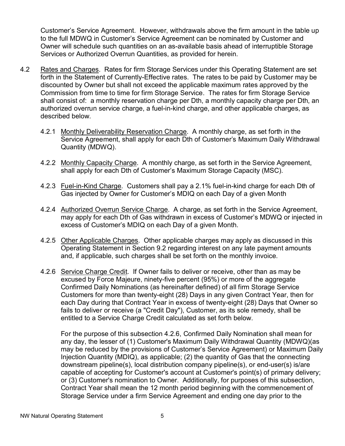Customer's Service Agreement. However, withdrawals above the firm amount in the table up to the full MDWQ in Customer's Service Agreement can be nominated by Customer and Owner will schedule such quantities on an as-available basis ahead of interruptible Storage Services or Authorized Overrun Quantities, as provided for herein.

- 4.2 Rates and Charges. Rates for firm Storage Services under this Operating Statement are set forth in the Statement of Currently-Effective rates. The rates to be paid by Customer may be discounted by Owner but shall not exceed the applicable maximum rates approved by the Commission from time to time for firm Storage Service. The rates for firm Storage Service shall consist of: a monthly reservation charge per Dth, a monthly capacity charge per Dth, an authorized overrun service charge, a fuel-in-kind charge, and other applicable charges, as described below.
	- 4.2.1 Monthly Deliverability Reservation Charge. A monthly charge, as set forth in the Service Agreement, shall apply for each Dth of Customer's Maximum Daily Withdrawal Quantity (MDWQ).
	- 4.2.2 Monthly Capacity Charge. A monthly charge, as set forth in the Service Agreement, shall apply for each Dth of Customer's Maximum Storage Capacity (MSC).
	- 4.2.3 Fuel-in-Kind Charge. Customers shall pay a 2.1% fuel-in-kind charge for each Dth of Gas injected by Owner for Customer's MDIQ on each Day of a given Month
	- 4.2.4 Authorized Overrun Service Charge. A charge, as set forth in the Service Agreement, may apply for each Dth of Gas withdrawn in excess of Customer's MDWQ or injected in excess of Customer's MDIQ on each Day of a given Month.
	- 4.2.5 Other Applicable Charges. Other applicable charges may apply as discussed in this Operating Statement in Section 9.2 regarding interest on any late payment amounts and, if applicable, such charges shall be set forth on the monthly invoice.
	- 4.2.6 Service Charge Credit. If Owner fails to deliver or receive, other than as may be excused by Force Majeure, ninety-five percent (95%) or more of the aggregate Confirmed Daily Nominations (as hereinafter defined) of all firm Storage Service Customers for more than twenty-eight (28) Days in any given Contract Year, then for each Day during that Contract Year in excess of twenty-eight (28) Days that Owner so fails to deliver or receive (a "Credit Day"), Customer, as its sole remedy, shall be entitled to a Service Charge Credit calculated as set forth below.

For the purpose of this subsection 4.2.6, Confirmed Daily Nomination shall mean for any day, the lesser of (1) Customer's Maximum Daily Withdrawal Quantity (MDWQ)(as may be reduced by the provisions of Customer's Service Agreement) or Maximum Daily Injection Quantity (MDIQ), as applicable; (2) the quantity of Gas that the connecting downstream pipeline(s), local distribution company pipeline(s), or end-user(s) is/are capable of accepting for Customer's account at Customer's point(s) of primary delivery; or (3) Customer's nomination to Owner. Additionally, for purposes of this subsection, Contract Year shall mean the 12 month period beginning with the commencement of Storage Service under a firm Service Agreement and ending one day prior to the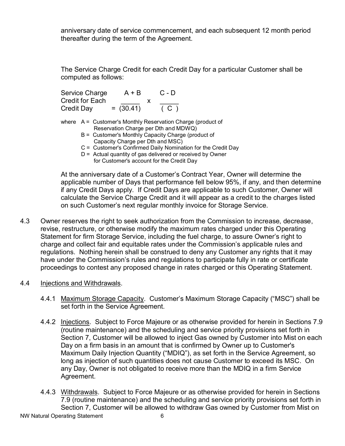anniversary date of service commencement, and each subsequent 12 month period thereafter during the term of the Agreement.

The Service Charge Credit for each Credit Day for a particular Customer shall be computed as follows:

|                   | Service Charge                                               | $A + B$                                                       | $C - D$ |  |  |
|-------------------|--------------------------------------------------------------|---------------------------------------------------------------|---------|--|--|
|                   | <b>Credit for Each</b>                                       | x                                                             |         |  |  |
| <b>Credit Day</b> |                                                              | $= (30.41)$                                                   | ( C )   |  |  |
|                   |                                                              | where $A =$ Customer's Monthly Reservation Charge (product of |         |  |  |
|                   |                                                              | Reservation Charge per Dth and MDWQ)                          |         |  |  |
|                   |                                                              | B = Customer's Monthly Capacity Charge (product of            |         |  |  |
|                   |                                                              | Capacity Charge per Dth and MSC)                              |         |  |  |
|                   | C = Customer's Confirmed Daily Nomination for the Credit Day |                                                               |         |  |  |
|                   |                                                              | D = Actual quantity of gas delivered or received by Owner     |         |  |  |
|                   |                                                              | for Customer's account for the Credit Day                     |         |  |  |

At the anniversary date of a Customer's Contract Year, Owner will determine the applicable number of Days that performance fell below 95%, if any, and then determine if any Credit Days apply. If Credit Days are applicable to such Customer, Owner will calculate the Service Charge Credit and it will appear as a credit to the charges listed on such Customer's next regular monthly invoice for Storage Service.

- 4.3 Owner reserves the right to seek authorization from the Commission to increase, decrease, revise, restructure, or otherwise modify the maximum rates charged under this Operating Statement for firm Storage Service, including the fuel charge, to assure Owner's right to charge and collect fair and equitable rates under the Commission's applicable rules and regulations. Nothing herein shall be construed to deny any Customer any rights that it may have under the Commission's rules and regulations to participate fully in rate or certificate proceedings to contest any proposed change in rates charged or this Operating Statement.
- 4.4 Injections and Withdrawals.
	- 4.4.1 Maximum Storage Capacity. Customer's Maximum Storage Capacity ("MSC") shall be set forth in the Service Agreement.
	- 4.4.2 Injections. Subject to Force Majeure or as otherwise provided for herein in Sections 7.9 (routine maintenance) and the scheduling and service priority provisions set forth in Section 7, Customer will be allowed to inject Gas owned by Customer into Mist on each Day on a firm basis in an amount that is confirmed by Owner up to Customer's Maximum Daily Injection Quantity ("MDIQ"), as set forth in the Service Agreement, so long as injection of such quantities does not cause Customer to exceed its MSC. On any Day, Owner is not obligated to receive more than the MDIQ in a firm Service Agreement.
	- 4.4.3 Withdrawals. Subject to Force Majeure or as otherwise provided for herein in Sections 7.9 (routine maintenance) and the scheduling and service priority provisions set forth in Section 7, Customer will be allowed to withdraw Gas owned by Customer from Mist on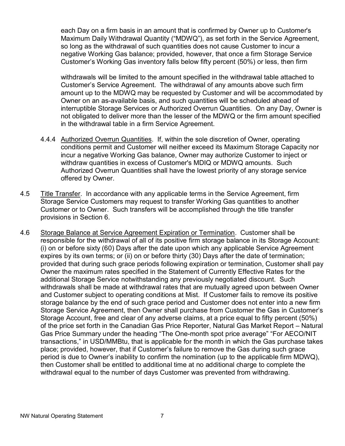each Day on a firm basis in an amount that is confirmed by Owner up to Customer's Maximum Daily Withdrawal Quantity ("MDWQ"), as set forth in the Service Agreement, so long as the withdrawal of such quantities does not cause Customer to incur a negative Working Gas balance; provided, however, that once a firm Storage Service Customer's Working Gas inventory falls below fifty percent (50%) or less, then firm

withdrawals will be limited to the amount specified in the withdrawal table attached to Customer's Service Agreement. The withdrawal of any amounts above such firm amount up to the MDWQ may be requested by Customer and will be accommodated by Owner on an as-available basis, and such quantities will be scheduled ahead of interruptible Storage Services or Authorized Overrun Quantities. On any Day, Owner is not obligated to deliver more than the lesser of the MDWQ or the firm amount specified in the withdrawal table in a firm Service Agreement.

- 4.4.4 Authorized Overrun Quantities. If, within the sole discretion of Owner, operating conditions permit and Customer will neither exceed its Maximum Storage Capacity nor incur a negative Working Gas balance, Owner may authorize Customer to inject or withdraw quantities in excess of Customer's MDIQ or MDWQ amounts. Such Authorized Overrun Quantities shall have the lowest priority of any storage service offered by Owner.
- 4.5 Title Transfer. In accordance with any applicable terms in the Service Agreement, firm Storage Service Customers may request to transfer Working Gas quantities to another Customer or to Owner. Such transfers will be accomplished through the title transfer provisions in Section 6.
- 4.6 Storage Balance at Service Agreement Expiration or Termination. Customer shall be responsible for the withdrawal of all of its positive firm storage balance in its Storage Account: (i) on or before sixty (60) Days after the date upon which any applicable Service Agreement expires by its own terms; or (ii) on or before thirty (30) Days after the date of termination; provided that during such grace periods following expiration or termination, Customer shall pay Owner the maximum rates specified in the Statement of Currently Effective Rates for the additional Storage Service notwithstanding any previously negotiated discount. Such withdrawals shall be made at withdrawal rates that are mutually agreed upon between Owner and Customer subject to operating conditions at Mist. If Customer fails to remove its positive storage balance by the end of such grace period and Customer does not enter into a new firm Storage Service Agreement, then Owner shall purchase from Customer the Gas in Customer's Storage Account, free and clear of any adverse claims, at a price equal to fifty percent (50%) of the price set forth in the Canadian Gas Price Reporter, Natural Gas Market Report – Natural Gas Price Summary under the heading "The One-month spot price average" "For AECO/NIT transactions," in USD/MMBtu, that is applicable for the month in which the Gas purchase takes place; provided, however, that if Customer's failure to remove the Gas during such grace period is due to Owner's inability to confirm the nomination (up to the applicable firm MDWQ), then Customer shall be entitled to additional time at no additional charge to complete the withdrawal equal to the number of days Customer was prevented from withdrawing.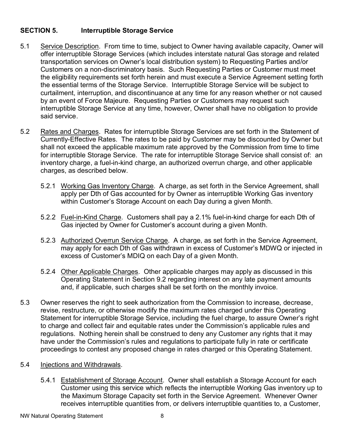## **SECTION 5. Interruptible Storage Service**

- 5.1 Service Description. From time to time, subject to Owner having available capacity, Owner will offer interruptible Storage Services (which includes interstate natural Gas storage and related transportation services on Owner's local distribution system) to Requesting Parties and/or Customers on a non-discriminatory basis. Such Requesting Parties or Customer must meet the eligibility requirements set forth herein and must execute a Service Agreement setting forth the essential terms of the Storage Service. Interruptible Storage Service will be subject to curtailment, interruption, and discontinuance at any time for any reason whether or not caused by an event of Force Majeure. Requesting Parties or Customers may request such interruptible Storage Service at any time, however, Owner shall have no obligation to provide said service.
- 5.2 Rates and Charges. Rates for interruptible Storage Services are set forth in the Statement of Currently-Effective Rates. The rates to be paid by Customer may be discounted by Owner but shall not exceed the applicable maximum rate approved by the Commission from time to time for interruptible Storage Service. The rate for interruptible Storage Service shall consist of: an inventory charge, a fuel-in-kind charge, an authorized overrun charge, and other applicable charges, as described below.
	- 5.2.1 Working Gas Inventory Charge. A charge, as set forth in the Service Agreement, shall apply per Dth of Gas accounted for by Owner as interruptible Working Gas inventory within Customer's Storage Account on each Day during a given Month.
	- 5.2.2 Fuel-in-Kind Charge. Customers shall pay a 2.1% fuel-in-kind charge for each Dth of Gas injected by Owner for Customer's account during a given Month.
	- 5.2.3 Authorized Overrun Service Charge. A charge, as set forth in the Service Agreement, may apply for each Dth of Gas withdrawn in excess of Customer's MDWQ or injected in excess of Customer's MDIQ on each Day of a given Month.
	- 5.2.4 Other Applicable Charges. Other applicable charges may apply as discussed in this Operating Statement in Section 9.2 regarding interest on any late payment amounts and, if applicable, such charges shall be set forth on the monthly invoice.
- 5.3 Owner reserves the right to seek authorization from the Commission to increase, decrease, revise, restructure, or otherwise modify the maximum rates charged under this Operating Statement for interruptible Storage Service, including the fuel charge, to assure Owner's right to charge and collect fair and equitable rates under the Commission's applicable rules and regulations. Nothing herein shall be construed to deny any Customer any rights that it may have under the Commission's rules and regulations to participate fully in rate or certificate proceedings to contest any proposed change in rates charged or this Operating Statement.

### 5.4 Injections and Withdrawals.

5.4.1 Establishment of Storage Account. Owner shall establish a Storage Account for each Customer using this service which reflects the interruptible Working Gas inventory up to the Maximum Storage Capacity set forth in the Service Agreement. Whenever Owner receives interruptible quantities from, or delivers interruptible quantities to, a Customer,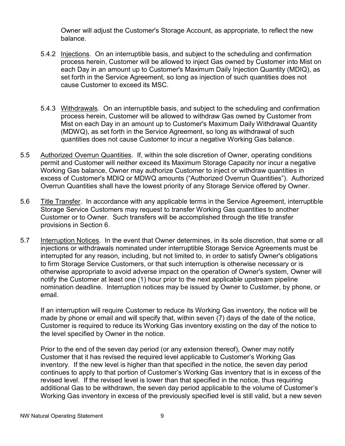Owner will adjust the Customer's Storage Account, as appropriate, to reflect the new balance.

- 5.4.2 Injections. On an interruptible basis, and subject to the scheduling and confirmation process herein, Customer will be allowed to inject Gas owned by Customer into Mist on each Day in an amount up to Customer's Maximum Daily Injection Quantity (MDIQ), as set forth in the Service Agreement, so long as injection of such quantities does not cause Customer to exceed its MSC.
- 5.4.3 Withdrawals. On an interruptible basis, and subject to the scheduling and confirmation process herein, Customer will be allowed to withdraw Gas owned by Customer from Mist on each Day in an amount up to Customer's Maximum Daily Withdrawal Quantity (MDWQ), as set forth in the Service Agreement, so long as withdrawal of such quantities does not cause Customer to incur a negative Working Gas balance.
- 5.5 Authorized Overrun Quantities. If, within the sole discretion of Owner, operating conditions permit and Customer will neither exceed its Maximum Storage Capacity nor incur a negative Working Gas balance, Owner may authorize Customer to inject or withdraw quantities in excess of Customer's MDIQ or MDWQ amounts ("Authorized Overrun Quantities"). Authorized Overrun Quantities shall have the lowest priority of any Storage Service offered by Owner.
- 5.6 Title Transfer. In accordance with any applicable terms in the Service Agreement, interruptible Storage Service Customers may request to transfer Working Gas quantities to another Customer or to Owner. Such transfers will be accomplished through the title transfer provisions in Section 6.
- 5.7 Interruption Notices. In the event that Owner determines, in its sole discretion, that some or all injections or withdrawals nominated under interruptible Storage Service Agreements must be interrupted for any reason, including, but not limited to, in order to satisfy Owner's obligations to firm Storage Service Customers, or that such interruption is otherwise necessary or is otherwise appropriate to avoid adverse impact on the operation of Owner's system, Owner will notify the Customer at least one (1) hour prior to the next applicable upstream pipeline nomination deadline. Interruption notices may be issued by Owner to Customer, by phone, or email.

If an interruption will require Customer to reduce its Working Gas inventory, the notice will be made by phone or email and will specify that, within seven (7) days of the date of the notice, Customer is required to reduce its Working Gas inventory existing on the day of the notice to the level specified by Owner in the notice.

Prior to the end of the seven day period (or any extension thereof), Owner may notify Customer that it has revised the required level applicable to Customer's Working Gas inventory. If the new level is higher than that specified in the notice, the seven day period continues to apply to that portion of Customer's Working Gas inventory that is in excess of the revised level. If the revised level is lower than that specified in the notice, thus requiring additional Gas to be withdrawn, the seven day period applicable to the volume of Customer's Working Gas inventory in excess of the previously specified level is still valid, but a new seven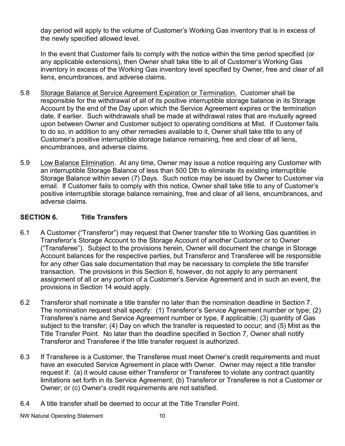day period will apply to the volume of Customer's Working Gas inventory that is in excess of the newly specified allowed level.

In the event that Customer fails to comply with the notice within the time period specified (or any applicable extensions), then Owner shall take title to all of Customer's Working Gas inventory in excess of the Working Gas inventory level specified by Owner, free and clear of all liens, encumbrances, and adverse claims.

- 5.8 Storage Balance at Service Agreement Expiration or Termination. Customer shall be responsible for the withdrawal of all of its positive interruptible storage balance in its Storage Account by the end of the Day upon which the Service Agreement expires or the termination date, if earlier. Such withdrawals shall be made at withdrawal rates that are mutually agreed upon between Owner and Customer subject to operating conditions at Mist. If Customer fails to do so, in addition to any other remedies available to it, Owner shall take title to any of Customer's positive interruptible storage balance remaining, free and clear of all liens, encumbrances, and adverse claims.
- 5.9 Low Balance Elimination. At any time, Owner may issue a notice requiring any Customer with an interruptible Storage Balance of less than 500 Dth to eliminate its existing interruptible Storage Balance within seven (7) Days. Such notice may be issued by Owner to Customer via email. If Customer fails to comply with this notice, Owner shall take title to any of Customer's positive interruptible storage balance remaining, free and clear of all liens, encumbrances, and adverse claims.

# **SECTION 6. Title Transfers**

- 6.1 A Customer ("Transferor") may request that Owner transfer title to Working Gas quantities in Transferor's Storage Account to the Storage Account of another Customer or to Owner ("Transferee"). Subject to the provisions herein, Owner will document the change in Storage Account balances for the respective parties, but Transferor and Transferee will be responsible for any other Gas sale documentation that may be necessary to complete the title transfer transaction. The provisions in this Section 6, however, do not apply to any permanent assignment of all or any portion of a Customer's Service Agreement and in such an event, the provisions in Section 14 would apply.
- 6.2 Transferor shall nominate a title transfer no later than the nomination deadline in Section 7. The nomination request shall specify: (1) Transferor's Service Agreement number or type; (2) Transferee's name and Service Agreement number or type, if applicable; (3) quantity of Gas subject to the transfer; (4) Day on which the transfer is requested to occur; and (5) Mist as the Title Transfer Point. No later than the deadline specified in Section 7, Owner shall notify Transferor and Transferee if the title transfer request is authorized.
- 6.3 If Transferee is a Customer, the Transferee must meet Owner's credit requirements and must have an executed Service Agreement in place with Owner. Owner may reject a title transfer request if: (a) it would cause either Transferor or Transferee to violate any contract quantity limitations set forth in its Service Agreement; (b) Transferor or Transferee is not a Customer or Owner; or (c) Owner's credit requirements are not satisfied.
- 6.4 A title transfer shall be deemed to occur at the Title Transfer Point.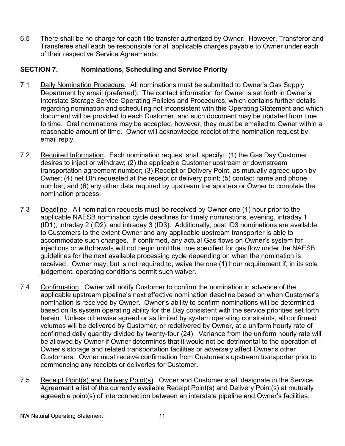6.5 There shall be no charge for each title transfer authorized by Owner. However, Transferor and Transferee shall each be responsible for all applicable charges payable to Owner under each of their respective Service Agreements.

## **SECTION 7. Nominations, Scheduling and Service Priority**

- 7.1 Daily Nomination Procedure. All nominations must be submitted to Owner's Gas Supply Department by email (preferred). The contact information for Owner is set forth in Owner's Interstate Storage Service Operating Policies and Procedures, which contains further details regarding nomination and scheduling not inconsistent with this Operating Statement and which document will be provided to each Customer, and such document may be updated from time to time. Oral nominations may be accepted, however, they must be emailed to Owner within a reasonable amount of time. Owner will acknowledge receipt of the nomination request by email reply.
- 7.2 Required Information. Each nomination request shall specify: (1) the Gas Day Customer desires to inject or withdraw; (2) the applicable Customer upstream or downstream transportation agreement number; (3) Receipt or Delivery Point, as mutually agreed upon by Owner; (4) net Dth requested at the receipt or delivery point; (5) contact name and phone number; and (6) any other data required by upstream transporters or Owner to complete the nomination process.
- 7.3 Deadline. All nomination requests must be received by Owner one (1) hour prior to the applicable NAESB nomination cycle deadlines for timely nominations, evening, intraday 1 (ID1), intraday 2 (ID2), and intraday 3 (ID3). Additionally, post ID3 nominations are available to Customers to the extent Owner and any applicable upstream transporter is able to accommodate such changes. If confirmed, any actual Gas flows on Owner's system for injections or withdrawals will not begin until the time specified for gas flow under the NAESB guidelines for the next available processing cycle depending on when the nomination is received. Owner may, but is not required to, waive the one (1) hour requirement if, in its sole judgement, operating conditions permit such waiver.
- 7.4 Confirmation. Owner will notify Customer to confirm the nomination in advance of the applicable upstream pipeline's next effective nomination deadline based on when Customer's nomination is received by Owner. Owner's ability to confirm nominations will be determined based on its system operating ability for the Day consistent with the service priorities set forth herein. Unless otherwise agreed or as limited by system operating constraints, all confirmed volumes will be delivered by Customer, or redelivered by Owner, at a uniform hourly rate of confirmed daily quantity divided by twenty-four (24). Variance from the uniform hourly rate will be allowed by Owner if Owner determines that it would not be detrimental to the operation of Owner's storage and related transportation facilities or adversely affect Owner's other Customers. Owner must receive confirmation from Customer's upstream transporter prior to commencing any receipts or deliveries for Customer.
- 7.5 Receipt Point(s) and Delivery Point(s). Owner and Customer shall designate in the Service Agreement a list of the currently available Receipt Point(s) and Delivery Point(s) at mutually agreeable point(s) of interconnection between an interstate pipeline and Owner's facilities.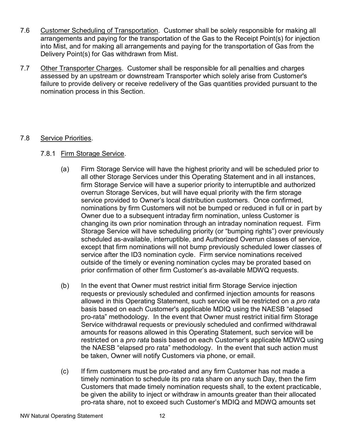- 7.6 Customer Scheduling of Transportation. Customer shall be solely responsible for making all arrangements and paying for the transportation of the Gas to the Receipt Point(s) for injection into Mist, and for making all arrangements and paying for the transportation of Gas from the Delivery Point(s) for Gas withdrawn from Mist.
- 7.7 Other Transporter Charges. Customer shall be responsible for all penalties and charges assessed by an upstream or downstream Transporter which solely arise from Customer's failure to provide delivery or receive redelivery of the Gas quantities provided pursuant to the nomination process in this Section.

## 7.8 Service Priorities.

## 7.8.1 Firm Storage Service.

- (a) Firm Storage Service will have the highest priority and will be scheduled prior to all other Storage Services under this Operating Statement and in all instances, firm Storage Service will have a superior priority to interruptible and authorized overrun Storage Services, but will have equal priority with the firm storage service provided to Owner's local distribution customers. Once confirmed, nominations by firm Customers will not be bumped or reduced in full or in part by Owner due to a subsequent intraday firm nomination, unless Customer is changing its own prior nomination through an intraday nomination request. Firm Storage Service will have scheduling priority (or "bumping rights") over previously scheduled as-available, interruptible, and Authorized Overrun classes of service, except that firm nominations will not bump previously scheduled lower classes of service after the ID3 nomination cycle. Firm service nominations received outside of the timely or evening nomination cycles may be prorated based on prior confirmation of other firm Customer's as-available MDWQ requests.
- (b) In the event that Owner must restrict initial firm Storage Service injection requests or previously scheduled and confirmed injection amounts for reasons allowed in this Operating Statement, such service will be restricted on a *pro rata* basis based on each Customer's applicable MDIQ using the NAESB "elapsed pro-rata" methodology. In the event that Owner must restrict initial firm Storage Service withdrawal requests or previously scheduled and confirmed withdrawal amounts for reasons allowed in this Operating Statement, such service will be restricted on a *pro rata* basis based on each Customer's applicable MDWQ using the NAESB "elapsed pro rata" methodology. In the event that such action must be taken, Owner will notify Customers via phone, or email.
- (c) If firm customers must be pro-rated and any firm Customer has not made a timely nomination to schedule its pro rata share on any such Day, then the firm Customers that made timely nomination requests shall, to the extent practicable, be given the ability to inject or withdraw in amounts greater than their allocated pro-rata share, not to exceed such Customer's MDIQ and MDWQ amounts set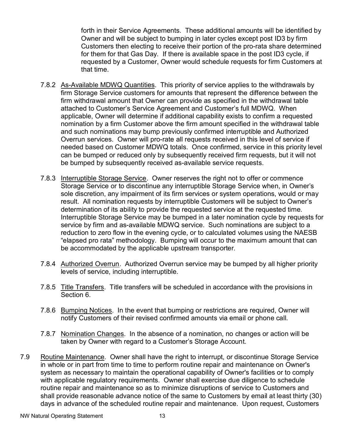forth in their Service Agreements. These additional amounts will be identified by Owner and will be subject to bumping in later cycles except post ID3 by firm Customers then electing to receive their portion of the pro-rata share determined for them for that Gas Day. If there is available space in the post ID3 cycle, if requested by a Customer, Owner would schedule requests for firm Customers at that time.

- 7.8.2 As-Available MDWQ Quantities. This priority of service applies to the withdrawals by firm Storage Service customers for amounts that represent the difference between the firm withdrawal amount that Owner can provide as specified in the withdrawal table attached to Customer's Service Agreement and Customer's full MDWQ. When applicable, Owner will determine if additional capability exists to confirm a requested nomination by a firm Customer above the firm amount specified in the withdrawal table and such nominations may bump previously confirmed interruptible and Authorized Overrun services. Owner will pro-rate all requests received in this level of service if needed based on Customer MDWQ totals. Once confirmed, service in this priority level can be bumped or reduced only by subsequently received firm requests, but it will not be bumped by subsequently received as-available service requests.
- 7.8.3 Interruptible Storage Service. Owner reserves the right not to offer or commence Storage Service or to discontinue any interruptible Storage Service when, in Owner's sole discretion, any impairment of its firm services or system operations, would or may result. All nomination requests by interruptible Customers will be subject to Owner's determination of its ability to provide the requested service at the requested time. Interruptible Storage Service may be bumped in a later nomination cycle by requests for service by firm and as-available MDWQ service. Such nominations are subject to a reduction to zero flow in the evening cycle, or to calculated volumes using the NAESB "elapsed pro rata" methodology. Bumping will occur to the maximum amount that can be accommodated by the applicable upstream transporter.
- 7.8.4 Authorized Overrun. Authorized Overrun service may be bumped by all higher priority levels of service, including interruptible.
- 7.8.5 Title Transfers. Title transfers will be scheduled in accordance with the provisions in Section 6.
- 7.8.6 Bumping Notices. In the event that bumping or restrictions are required, Owner will notify Customers of their revised confirmed amounts via email or phone call.
- 7.8.7 Nomination Changes. In the absence of a nomination, no changes or action will be taken by Owner with regard to a Customer's Storage Account.
- 7.9 Routine Maintenance. Owner shall have the right to interrupt, or discontinue Storage Service in whole or in part from time to time to perform routine repair and maintenance on Owner's system as necessary to maintain the operational capability of Owner's facilities or to comply with applicable regulatory requirements. Owner shall exercise due diligence to schedule routine repair and maintenance so as to minimize disruptions of service to Customers and shall provide reasonable advance notice of the same to Customers by email at least thirty (30) days in advance of the scheduled routine repair and maintenance. Upon request, Customers

NW Natural Operating Statement 13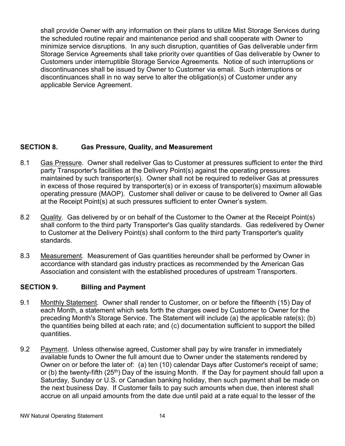shall provide Owner with any information on their plans to utilize Mist Storage Services during the scheduled routine repair and maintenance period and shall cooperate with Owner to minimize service disruptions. In any such disruption, quantities of Gas deliverable under firm Storage Service Agreements shall take priority over quantities of Gas deliverable by Owner to Customers under interruptible Storage Service Agreements. Notice of such interruptions or discontinuances shall be issued by Owner to Customer via email. Such interruptions or discontinuances shall in no way serve to alter the obligation(s) of Customer under any applicable Service Agreement.

# **SECTION 8. Gas Pressure, Quality, and Measurement**

- 8.1 Gas Pressure. Owner shall redeliver Gas to Customer at pressures sufficient to enter the third party Transporter's facilities at the Delivery Point(s) against the operating pressures maintained by such transporter(s). Owner shall not be required to redeliver Gas at pressures in excess of those required by transporter(s) or in excess of transporter(s) maximum allowable operating pressure (MAOP). Customer shall deliver or cause to be delivered to Owner all Gas at the Receipt Point(s) at such pressures sufficient to enter Owner's system.
- 8.2 Quality. Gas delivered by or on behalf of the Customer to the Owner at the Receipt Point(s) shall conform to the third party Transporter's Gas quality standards. Gas redelivered by Owner to Customer at the Delivery Point(s) shall conform to the third party Transporter's quality standards.
- 8.3 Measurement. Measurement of Gas quantities hereunder shall be performed by Owner in accordance with standard gas industry practices as recommended by the American Gas Association and consistent with the established procedures of upstream Transporters.

# **SECTION 9. Billing and Payment**

- 9.1 Monthly Statement. Owner shall render to Customer, on or before the fifteenth (15) Day of each Month, a statement which sets forth the charges owed by Customer to Owner for the preceding Month's Storage Service. The Statement will include (a) the applicable rate(s); (b) the quantities being billed at each rate; and (c) documentation sufficient to support the billed quantities.
- 9.2 Payment. Unless otherwise agreed, Customer shall pay by wire transfer in immediately available funds to Owner the full amount due to Owner under the statements rendered by Owner on or before the later of: (a) ten (10) calendar Days after Customer's receipt of same; or (b) the twenty-fifth  $(25<sup>th</sup>)$  Day of the issuing Month. If the Day for payment should fall upon a Saturday, Sunday or U.S. or Canadian banking holiday, then such payment shall be made on the next business Day. If Customer fails to pay such amounts when due, then interest shall accrue on all unpaid amounts from the date due until paid at a rate equal to the lesser of the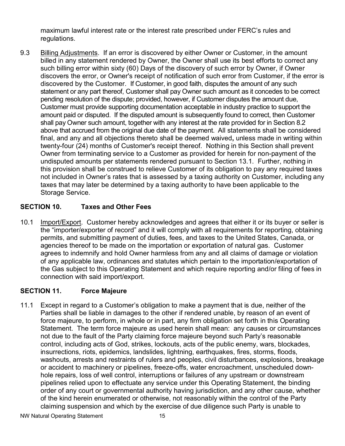maximum lawful interest rate or the interest rate prescribed under FERC's rules and regulations.

9.3 Billing Adjustments. If an error is discovered by either Owner or Customer, in the amount billed in any statement rendered by Owner, the Owner shall use its best efforts to correct any such billing error within sixty (60) Days of the discovery of such error by Owner, if Owner discovers the error, or Owner's receipt of notification of such error from Customer, if the error is discovered by the Customer. If Customer, in good faith, disputes the amount of any such statement or any part thereof, Customer shall pay Owner such amount as it concedes to be correct pending resolution of the dispute; provided, however, if Customer disputes the amount due, Customer must provide supporting documentation acceptable in industry practice to support the amount paid or disputed. If the disputed amount is subsequently found to correct, then Customer shall pay Owner such amount, together with any interest at the rate provided for in Section 8.2 above that accrued from the original due date of the payment. All statements shall be considered final, and any and all objections thereto shall be deemed waived**,** unless made in writing within twenty-four (24) months of Customer's receipt thereof. Nothing in this Section shall prevent Owner from terminating service to a Customer as provided for herein for non-payment of the undisputed amounts per statements rendered pursuant to Section 13.1. Further, nothing in this provision shall be construed to relieve Customer of its obligation to pay any required taxes not included in Owner's rates that is assessed by a taxing authority on Customer, including any taxes that may later be determined by a taxing authority to have been applicable to the Storage Service.

## **SECTION 10. Taxes and Other Fees**

10.1 Import/Export. Customer hereby acknowledges and agrees that either it or its buyer or seller is the "importer/exporter of record" and it will comply with all requirements for reporting, obtaining permits, and submitting payment of duties, fees, and taxes to the United States, Canada, or agencies thereof to be made on the importation or exportation of natural gas. Customer agrees to indemnify and hold Owner harmless from any and all claims of damage or violation of any applicable law, ordinances and statutes which pertain to the importation/exportation of the Gas subject to this Operating Statement and which require reporting and/or filing of fees in connection with said import/export.

## **SECTION 11. Force Majeure**

11.1 Except in regard to a Customer's obligation to make a payment that is due, neither of the Parties shall be liable in damages to the other if rendered unable, by reason of an event of force majeure, to perform, in whole or in part, any firm obligation set forth in this Operating Statement. The term force majeure as used herein shall mean: any causes or circumstances not due to the fault of the Party claiming force majeure beyond such Party's reasonable control, including acts of God, strikes, lockouts, acts of the public enemy, wars, blockades, insurrections, riots, epidemics, landslides, lightning, earthquakes, fires, storms, floods, washouts, arrests and restraints of rulers and peoples, civil disturbances, explosions, breakage or accident to machinery or pipelines, freeze-offs, water encroachment, unscheduled downhole repairs, loss of well control, interruptions or failures of any upstream or downstream pipelines relied upon to effectuate any service under this Operating Statement, the binding order of any court or governmental authority having jurisdiction, and any other cause, whether of the kind herein enumerated or otherwise, not reasonably within the control of the Party claiming suspension and which by the exercise of due diligence such Party is unable to

NW Natural Operating Statement 15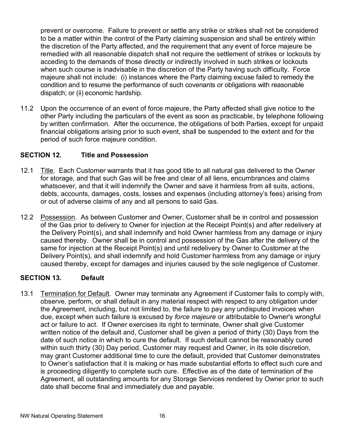prevent or overcome. Failure to prevent or settle any strike or strikes shall not be considered to be a matter within the control of the Party claiming suspension and shall be entirely within the discretion of the Party affected, and the requirement that any event of force majeure be remedied with all reasonable dispatch shall not require the settlement of strikes or lockouts by acceding to the demands of those directly or indirectly involved in such strikes or lockouts when such course is inadvisable in the discretion of the Party having such difficulty. Force majeure shall not include: (i) instances where the Party claiming excuse failed to remedy the condition and to resume the performance of such covenants or obligations with reasonable dispatch; or (ii) economic hardship.

11.2 Upon the occurrence of an event of force majeure, the Party affected shall give notice to the other Party including the particulars of the event as soon as practicable, by telephone following by written confirmation. After the occurrence, the obligations of both Parties, except for unpaid financial obligations arising prior to such event, shall be suspended to the extent and for the period of such force majeure condition.

## **SECTION 12. Title and Possession**

- 12.1 Title. Each Customer warrants that it has good title to all natural gas delivered to the Owner for storage, and that such Gas will be free and clear of all liens, encumbrances and claims whatsoever, and that it will indemnify the Owner and save it harmless from all suits, actions, debts, accounts, damages, costs, losses and expenses (including attorney's fees) arising from or out of adverse claims of any and all persons to said Gas.
- 12.2 Possession. As between Customer and Owner, Customer shall be in control and possession of the Gas prior to delivery to Owner for injection at the Receipt Point(s) and after redelivery at the Delivery Point(s), and shall indemnify and hold Owner harmless from any damage or injury caused thereby. Owner shall be in control and possession of the Gas after the delivery of the same for injection at the Receipt Point(s) and until redelivery by Owner to Customer at the Delivery Point(s), and shall indemnify and hold Customer harmless from any damage or injury caused thereby, except for damages and injuries caused by the sole negligence of Customer.

### **SECTION 13. Default**

13.1 Termination for Default. Owner may terminate any Agreement if Customer fails to comply with, observe, perform, or shall default in any material respect with respect to any obligation under the Agreement, including, but not limited to, the failure to pay any undisputed invoices when due, except when such failure is excused by *force majeure* or attributable to Owner's wrongful act or failure to act. If Owner exercises its right to terminate, Owner shall give Customer written notice of the default and, Customer shall be given a period of thirty (30) Days from the date of such notice in which to cure the default. If such default cannot be reasonably cured within such thirty (30) Day period, Customer may request and Owner, in its sole discretion, may grant Customer additional time to cure the default, provided that Customer demonstrates to Owner's satisfaction that it is making or has made substantial efforts to effect such cure and is proceeding diligently to complete such cure. Effective as of the date of termination of the Agreement, all outstanding amounts for any Storage Services rendered by Owner prior to such date shall become final and immediately due and payable.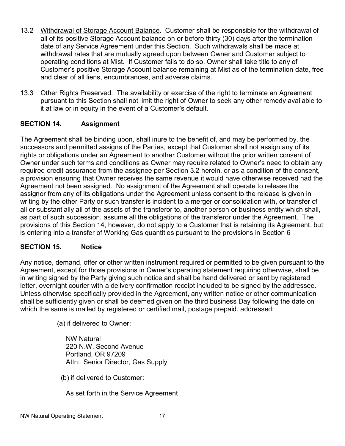- 13.2 Withdrawal of Storage Account Balance. Customer shall be responsible for the withdrawal of all of its positive Storage Account balance on or before thirty (30) days after the termination date of any Service Agreement under this Section. Such withdrawals shall be made at withdrawal rates that are mutually agreed upon between Owner and Customer subject to operating conditions at Mist. If Customer fails to do so, Owner shall take title to any of Customer's positive Storage Account balance remaining at Mist as of the termination date, free and clear of all liens, encumbrances, and adverse claims.
- 13.3 Other Rights Preserved. The availability or exercise of the right to terminate an Agreement pursuant to this Section shall not limit the right of Owner to seek any other remedy available to it at law or in equity in the event of a Customer's default.

# **SECTION 14. Assignment**

The Agreement shall be binding upon, shall inure to the benefit of, and may be performed by, the successors and permitted assigns of the Parties, except that Customer shall not assign any of its rights or obligations under an Agreement to another Customer without the prior written consent of Owner under such terms and conditions as Owner may require related to Owner's need to obtain any required credit assurance from the assignee per Section 3.2 herein, or as a condition of the consent, a provision ensuring that Owner receives the same revenue it would have otherwise received had the Agreement not been assigned. No assignment of the Agreement shall operate to release the assignor from any of its obligations under the Agreement unless consent to the release is given in writing by the other Party or such transfer is incident to a merger or consolidation with, or transfer of all or substantially all of the assets of the transferor to, another person or business entity which shall, as part of such succession, assume all the obligations of the transferor under the Agreement. The provisions of this Section 14, however, do not apply to a Customer that is retaining its Agreement, but is entering into a transfer of Working Gas quantities pursuant to the provisions in Section 6

## **SECTION 15. Notice**

Any notice, demand, offer or other written instrument required or permitted to be given pursuant to the Agreement, except for those provisions in Owner's operating statement requiring otherwise, shall be in writing signed by the Party giving such notice and shall be hand delivered or sent by registered letter, overnight courier with a delivery confirmation receipt included to be signed by the addressee. Unless otherwise specifically provided in the Agreement, any written notice or other communication shall be sufficiently given or shall be deemed given on the third business Day following the date on which the same is mailed by registered or certified mail, postage prepaid, addressed:

(a) if delivered to Owner:

NW Natural 220 N.W. Second Avenue Portland, OR 97209 Attn: Senior Director, Gas Supply

(b) if delivered to Customer:

As set forth in the Service Agreement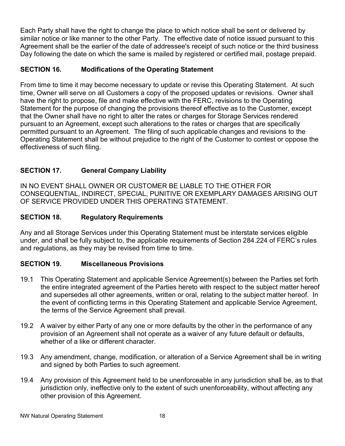Each Party shall have the right to change the place to which notice shall be sent or delivered by similar notice or like manner to the other Party. The effective date of notice issued pursuant to this Agreement shall be the earlier of the date of addressee's receipt of such notice or the third business Day following the date on which the same is mailed by registered or certified mail, postage prepaid.

# **SECTION 16. Modifications of the Operating Statement**

From time to time it may become necessary to update or revise this Operating Statement. At such time, Owner will serve on all Customers a copy of the proposed updates or revisions. Owner shall have the right to propose, file and make effective with the FERC, revisions to the Operating Statement for the purpose of changing the provisions thereof effective as to the Customer, except that the Owner shall have no right to alter the rates or charges for Storage Services rendered pursuant to an Agreement, except such alterations to the rates or charges that are specifically permitted pursuant to an Agreement. The filing of such applicable changes and revisions to the Operating Statement shall be without prejudice to the right of the Customer to contest or oppose the effectiveness of such filing.

# **SECTION 17. General Company Liability**

IN NO EVENT SHALL OWNER OR CUSTOMER BE LIABLE TO THE OTHER FOR CONSEQUENTIAL, INDIRECT, SPECIAL, PUNITIVE OR EXEMPLARY DAMAGES ARISING OUT OF SERVICE PROVIDED UNDER THIS OPERATING STATEMENT.

## **SECTION 18. Regulatory Requirements**

Any and all Storage Services under this Operating Statement must be interstate services eligible under, and shall be fully subject to, the applicable requirements of Section 284.224 of FERC's rules and regulations, as they may be revised from time to time.

## **SECTION 19. Miscellaneous Provisions**

- 19.1 This Operating Statement and applicable Service Agreement(s) between the Parties set forth the entire integrated agreement of the Parties hereto with respect to the subject matter hereof and supersedes all other agreements, written or oral, relating to the subject matter hereof. In the event of conflicting terms in this Operating Statement and applicable Service Agreement, the terms of the Service Agreement shall prevail.
- 19.2 A waiver by either Party of any one or more defaults by the other in the performance of any provision of an Agreement shall not operate as a waiver of any future default or defaults, whether of a like or different character.
- 19.3 Any amendment, change, modification, or alteration of a Service Agreement shall be in writing and signed by both Parties to such agreement.
- 19.4 Any provision of this Agreement held to be unenforceable in any jurisdiction shall be, as to that jurisdiction only, ineffective only to the extent of such unenforceability, without affecting any other provision of this Agreement.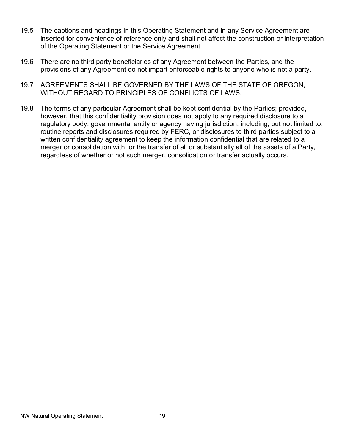- 19.5 The captions and headings in this Operating Statement and in any Service Agreement are inserted for convenience of reference only and shall not affect the construction or interpretation of the Operating Statement or the Service Agreement.
- 19.6 There are no third party beneficiaries of any Agreement between the Parties, and the provisions of any Agreement do not impart enforceable rights to anyone who is not a party.
- 19.7 AGREEMENTS SHALL BE GOVERNED BY THE LAWS OF THE STATE OF OREGON, WITHOUT REGARD TO PRINCIPLES OF CONFLICTS OF LAWS.
- 19.8 The terms of any particular Agreement shall be kept confidential by the Parties; provided, however, that this confidentiality provision does not apply to any required disclosure to a regulatory body, governmental entity or agency having jurisdiction, including, but not limited to, routine reports and disclosures required by FERC, or disclosures to third parties subject to a written confidentiality agreement to keep the information confidential that are related to a merger or consolidation with, or the transfer of all or substantially all of the assets of a Party, regardless of whether or not such merger, consolidation or transfer actually occurs.